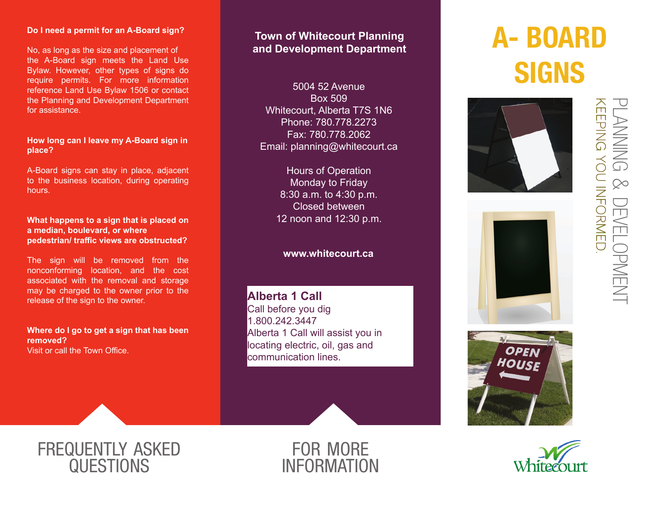### **Do I need a permit for an A-Board sign?**

No, as long as the size and placement of the A-Board sign meets the Land Use Bylaw. However, other types of signs do require permits. For more information reference Land Use Bylaw 1506 or contact the Planning and Development Department for assistance.

## **How long can I leave my A-Board sign in place?**

A-Board signs can stay in place, adjacent to the business location, during operating hours.

#### **What happens to a sign that is placed on a median, boulevard, or where pedestrian/ traffic views are obstructed?**

The sign will be removed from the nonconforming location, and the cost associated with the removal and storage may be charged to the owner prior to the release of the sign to the owner.

### **Where do I go to get a sign that has been removed?** Visit or call the Town Office.

# **Town of Whitecourt Planning and Development Department**

5004 52 Avenue Box 509 Whitecourt, Alberta T7S 1N6 Phone: 780.778.2273 Fax: 780.778.2062 Email: planning@whitecourt.ca

> Hours of Operation Monday to Friday 8:30 a.m. to 4:30 p.m. Closed between 12 noon and 12:30 p.m.

# **www.whitecourt.ca**

**Alberta 1 Call** Call before you dig 1.800.242.3447 Alberta 1 Call will assist you in locating electric, oil, gas and communication lines.

# A- BOARD **SIGNS**